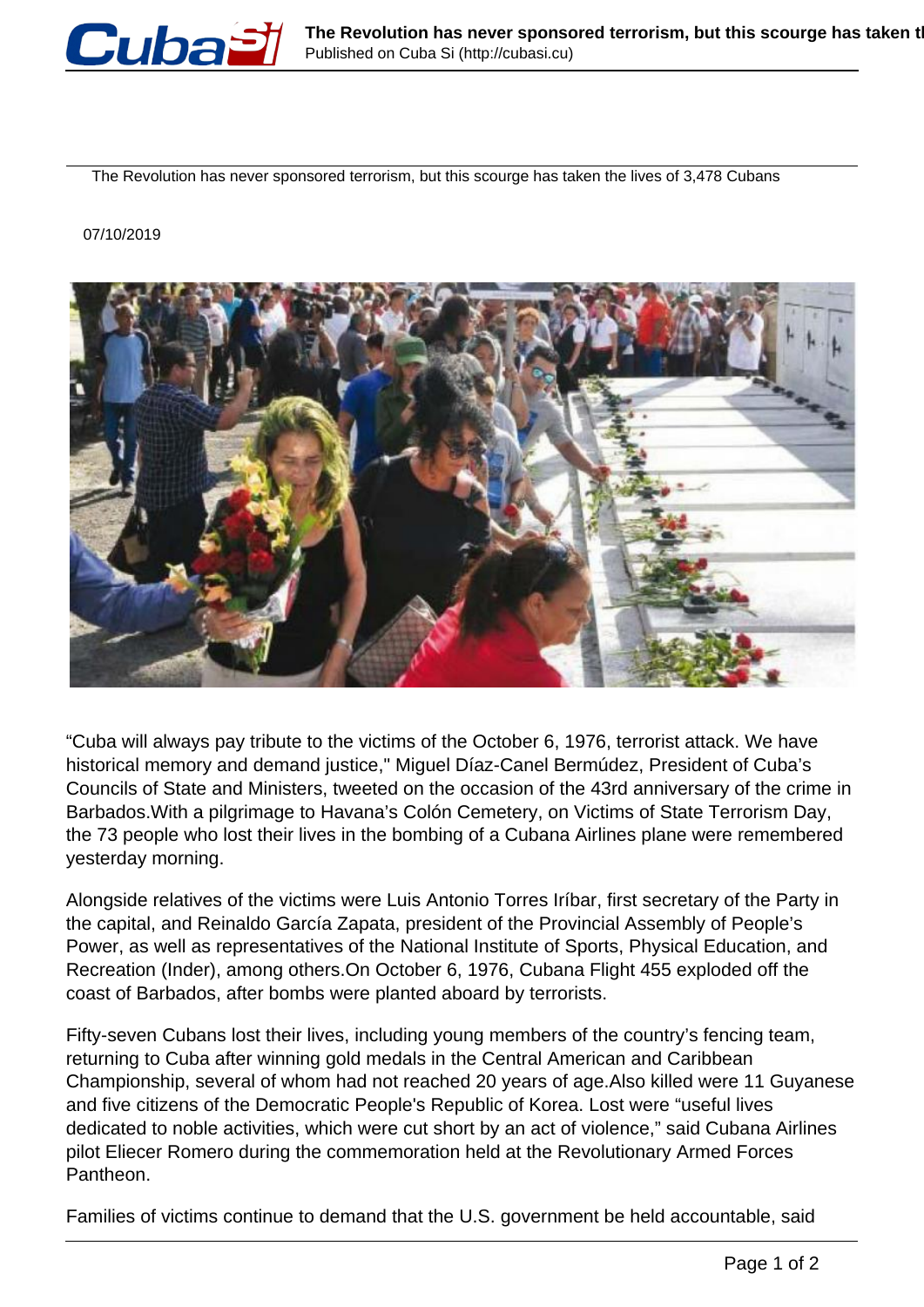

The Revolution has never sponsored terrorism, but this scourge has taken the lives of 3,478 Cubans

## 07/10/2019



"Cuba will always pay tribute to the victims of the October 6, 1976, terrorist attack. We have historical memory and demand justice," Miguel Díaz-Canel Bermúdez, President of Cuba's Councils of State and Ministers, tweeted on the occasion of the 43rd anniversary of the crime in Barbados.With a pilgrimage to Havana's Colón Cemetery, on Victims of State Terrorism Day, the 73 people who lost their lives in the bombing of a Cubana Airlines plane were remembered yesterday morning.

Alongside relatives of the victims were Luis Antonio Torres Iríbar, first secretary of the Party in the capital, and Reinaldo García Zapata, president of the Provincial Assembly of People's Power, as well as representatives of the National Institute of Sports, Physical Education, and Recreation (Inder), among others.On October 6, 1976, Cubana Flight 455 exploded off the coast of Barbados, after bombs were planted aboard by terrorists.

Fifty-seven Cubans lost their lives, including young members of the country's fencing team, returning to Cuba after winning gold medals in the Central American and Caribbean Championship, several of whom had not reached 20 years of age.Also killed were 11 Guyanese and five citizens of the Democratic People's Republic of Korea. Lost were "useful lives dedicated to noble activities, which were cut short by an act of violence," said Cubana Airlines pilot Eliecer Romero during the commemoration held at the Revolutionary Armed Forces Pantheon.

Families of victims continue to demand that the U.S. government be held accountable, said